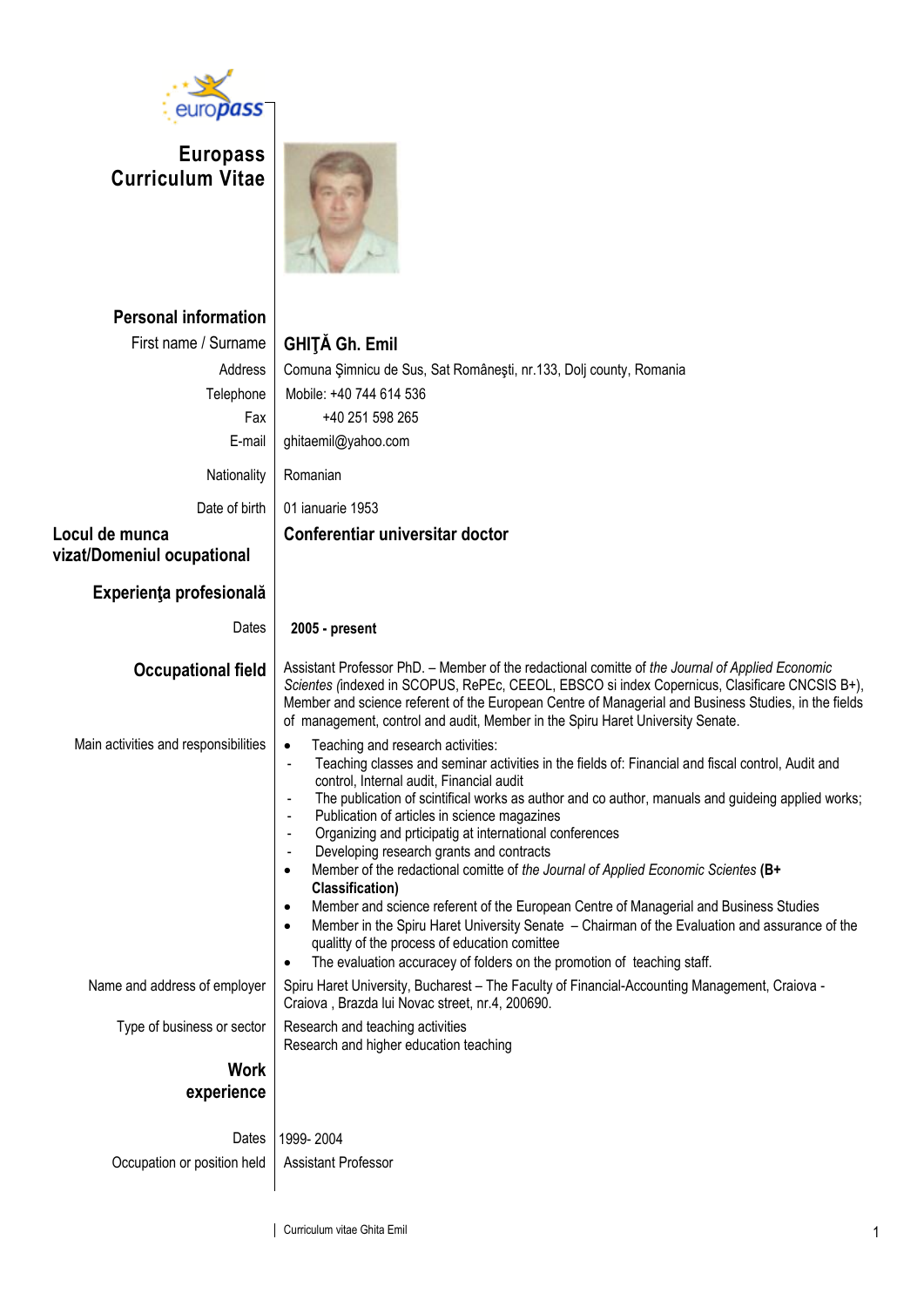

**Europass Curriculum Vitae**



| <b>Personal information</b><br>First name / Surname<br>Address<br>Telephone<br>Fax<br>E-mail<br>Nationality<br>Date of birth<br>Locul de munca | <b>GHITĂ Gh. Emil</b><br>Comuna Şimnicu de Sus, Sat Românești, nr.133, Dolj county, Romania<br>Mobile: +40 744 614 536<br>+40 251 598 265<br>ghitaemil@yahoo.com<br>Romanian<br>01 ianuarie 1953<br>Conferentiar universitar doctor                                                                                                                                                                                                                                                                                                                                                                                                                                                                                                                                                                                                                                                                                                                                                                                                   |
|------------------------------------------------------------------------------------------------------------------------------------------------|---------------------------------------------------------------------------------------------------------------------------------------------------------------------------------------------------------------------------------------------------------------------------------------------------------------------------------------------------------------------------------------------------------------------------------------------------------------------------------------------------------------------------------------------------------------------------------------------------------------------------------------------------------------------------------------------------------------------------------------------------------------------------------------------------------------------------------------------------------------------------------------------------------------------------------------------------------------------------------------------------------------------------------------|
| vizat/Domeniul ocupational                                                                                                                     |                                                                                                                                                                                                                                                                                                                                                                                                                                                                                                                                                                                                                                                                                                                                                                                                                                                                                                                                                                                                                                       |
| Experiența profesională<br>Dates                                                                                                               | 2005 - present                                                                                                                                                                                                                                                                                                                                                                                                                                                                                                                                                                                                                                                                                                                                                                                                                                                                                                                                                                                                                        |
|                                                                                                                                                | Assistant Professor PhD. - Member of the redactional comitte of the Journal of Applied Economic                                                                                                                                                                                                                                                                                                                                                                                                                                                                                                                                                                                                                                                                                                                                                                                                                                                                                                                                       |
| <b>Occupational field</b>                                                                                                                      | Scientes (indexed in SCOPUS, RePEc, CEEOL, EBSCO si index Copernicus, Clasificare CNCSIS B+),<br>Member and science referent of the European Centre of Managerial and Business Studies, in the fields<br>of management, control and audit, Member in the Spiru Haret University Senate.                                                                                                                                                                                                                                                                                                                                                                                                                                                                                                                                                                                                                                                                                                                                               |
| Main activities and responsibilities                                                                                                           | Teaching and research activities:<br>$\bullet$<br>Teaching classes and seminar activities in the fields of: Financial and fiscal control, Audit and<br>$\blacksquare$<br>control, Internal audit, Financial audit<br>The publication of scintifical works as author and co author, manuals and guideing applied works;<br>$\overline{\phantom{a}}$<br>Publication of articles in science magazines<br>$\overline{\phantom{a}}$<br>Organizing and prticipatig at international conferences<br>$\overline{\phantom{a}}$<br>Developing research grants and contracts<br>Member of the redactional comitte of the Journal of Applied Economic Scientes (B+<br>$\bullet$<br><b>Classification)</b><br>Member and science referent of the European Centre of Managerial and Business Studies<br>$\bullet$<br>Member in the Spiru Haret University Senate - Chairman of the Evaluation and assurance of the<br>٠<br>qualitty of the process of education comittee<br>The evaluation accuracey of folders on the promotion of teaching staff. |
| Name and address of employer                                                                                                                   | Spiru Haret University, Bucharest - The Faculty of Financial-Accounting Management, Craiova -<br>Craiova, Brazda lui Novac street, nr.4, 200690.                                                                                                                                                                                                                                                                                                                                                                                                                                                                                                                                                                                                                                                                                                                                                                                                                                                                                      |
| Type of business or sector                                                                                                                     | Research and teaching activities<br>Research and higher education teaching                                                                                                                                                                                                                                                                                                                                                                                                                                                                                                                                                                                                                                                                                                                                                                                                                                                                                                                                                            |
| <b>Work</b><br>experience                                                                                                                      |                                                                                                                                                                                                                                                                                                                                                                                                                                                                                                                                                                                                                                                                                                                                                                                                                                                                                                                                                                                                                                       |
| Dates                                                                                                                                          | 1999-2004                                                                                                                                                                                                                                                                                                                                                                                                                                                                                                                                                                                                                                                                                                                                                                                                                                                                                                                                                                                                                             |
| Occupation or position held                                                                                                                    | <b>Assistant Professor</b>                                                                                                                                                                                                                                                                                                                                                                                                                                                                                                                                                                                                                                                                                                                                                                                                                                                                                                                                                                                                            |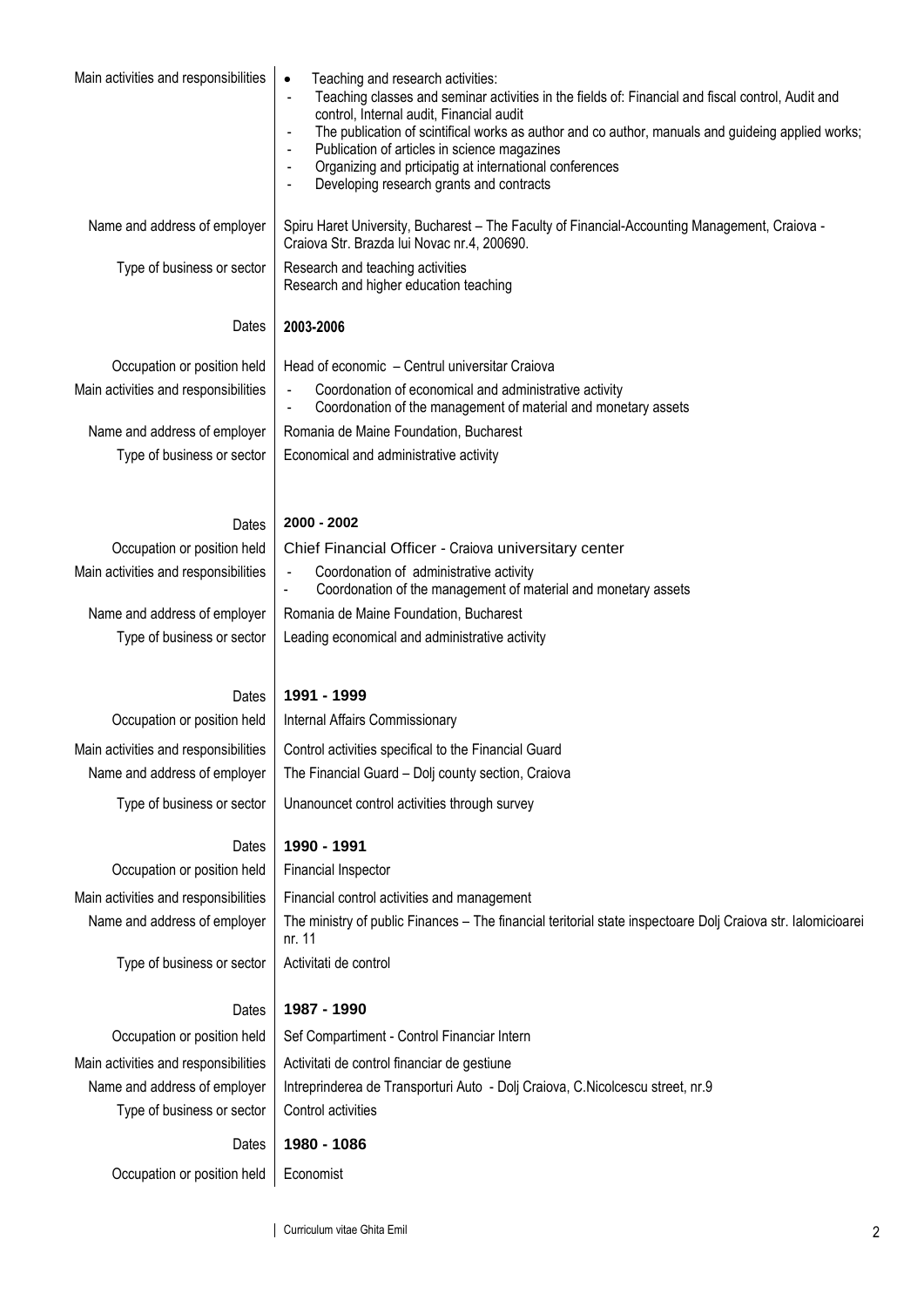| Main activities and responsibilities                                 | Teaching and research activities:<br>$\bullet$<br>Teaching classes and seminar activities in the fields of: Financial and fiscal control, Audit and<br>$\overline{\phantom{a}}$<br>control, Internal audit, Financial audit<br>The publication of scintifical works as author and co author, manuals and guideing applied works;<br>Publication of articles in science magazines<br>Organizing and prticipatig at international conferences<br>Developing research grants and contracts |
|----------------------------------------------------------------------|-----------------------------------------------------------------------------------------------------------------------------------------------------------------------------------------------------------------------------------------------------------------------------------------------------------------------------------------------------------------------------------------------------------------------------------------------------------------------------------------|
| Name and address of employer                                         | Spiru Haret University, Bucharest - The Faculty of Financial-Accounting Management, Craiova -<br>Craiova Str. Brazda lui Novac nr.4, 200690.                                                                                                                                                                                                                                                                                                                                            |
| Type of business or sector                                           | Research and teaching activities<br>Research and higher education teaching                                                                                                                                                                                                                                                                                                                                                                                                              |
| Dates                                                                | 2003-2006                                                                                                                                                                                                                                                                                                                                                                                                                                                                               |
| Occupation or position held                                          | Head of economic - Centrul universitar Craiova                                                                                                                                                                                                                                                                                                                                                                                                                                          |
| Main activities and responsibilities                                 | Coordonation of economical and administrative activity<br>Coordonation of the management of material and monetary assets                                                                                                                                                                                                                                                                                                                                                                |
| Name and address of employer                                         | Romania de Maine Foundation, Bucharest                                                                                                                                                                                                                                                                                                                                                                                                                                                  |
| Type of business or sector                                           | Economical and administrative activity                                                                                                                                                                                                                                                                                                                                                                                                                                                  |
| Dates                                                                | 2000 - 2002                                                                                                                                                                                                                                                                                                                                                                                                                                                                             |
| Occupation or position held                                          | Chief Financial Officer - Craiova universitary center                                                                                                                                                                                                                                                                                                                                                                                                                                   |
| Main activities and responsibilities                                 | Coordonation of administrative activity<br>Coordonation of the management of material and monetary assets                                                                                                                                                                                                                                                                                                                                                                               |
| Name and address of employer                                         | Romania de Maine Foundation, Bucharest                                                                                                                                                                                                                                                                                                                                                                                                                                                  |
| Type of business or sector                                           | Leading economical and administrative activity                                                                                                                                                                                                                                                                                                                                                                                                                                          |
|                                                                      |                                                                                                                                                                                                                                                                                                                                                                                                                                                                                         |
| Dates                                                                | 1991 - 1999                                                                                                                                                                                                                                                                                                                                                                                                                                                                             |
| Occupation or position held                                          | Internal Affairs Commissionary                                                                                                                                                                                                                                                                                                                                                                                                                                                          |
| Main activities and responsibilities                                 | Control activities specifical to the Financial Guard                                                                                                                                                                                                                                                                                                                                                                                                                                    |
| Name and address of employer                                         | The Financial Guard - Dolj county section, Craiova                                                                                                                                                                                                                                                                                                                                                                                                                                      |
| Type of business or sector                                           | Unanouncet control activities through survey                                                                                                                                                                                                                                                                                                                                                                                                                                            |
| Dates                                                                | 1990 - 1991                                                                                                                                                                                                                                                                                                                                                                                                                                                                             |
| Occupation or position held                                          | Financial Inspector                                                                                                                                                                                                                                                                                                                                                                                                                                                                     |
| Main activities and responsibilities                                 | Financial control activities and management                                                                                                                                                                                                                                                                                                                                                                                                                                             |
| Name and address of employer                                         | The ministry of public Finances - The financial teritorial state inspectoare Dolj Craiova str. lalomicioarei                                                                                                                                                                                                                                                                                                                                                                            |
| Type of business or sector                                           | nr. 11<br>Activitati de control                                                                                                                                                                                                                                                                                                                                                                                                                                                         |
|                                                                      |                                                                                                                                                                                                                                                                                                                                                                                                                                                                                         |
| Dates                                                                | 1987 - 1990                                                                                                                                                                                                                                                                                                                                                                                                                                                                             |
| Occupation or position held                                          | Sef Compartiment - Control Financiar Intern                                                                                                                                                                                                                                                                                                                                                                                                                                             |
| Main activities and responsibilities<br>Name and address of employer | Activitati de control financiar de gestiune<br>Intreprinderea de Transporturi Auto - Dolj Craiova, C. Nicolcescu street, nr.9                                                                                                                                                                                                                                                                                                                                                           |
| Type of business or sector                                           | Control activities                                                                                                                                                                                                                                                                                                                                                                                                                                                                      |
|                                                                      |                                                                                                                                                                                                                                                                                                                                                                                                                                                                                         |
| Dates                                                                | 1980 - 1086                                                                                                                                                                                                                                                                                                                                                                                                                                                                             |
| Occupation or position held                                          | Economist                                                                                                                                                                                                                                                                                                                                                                                                                                                                               |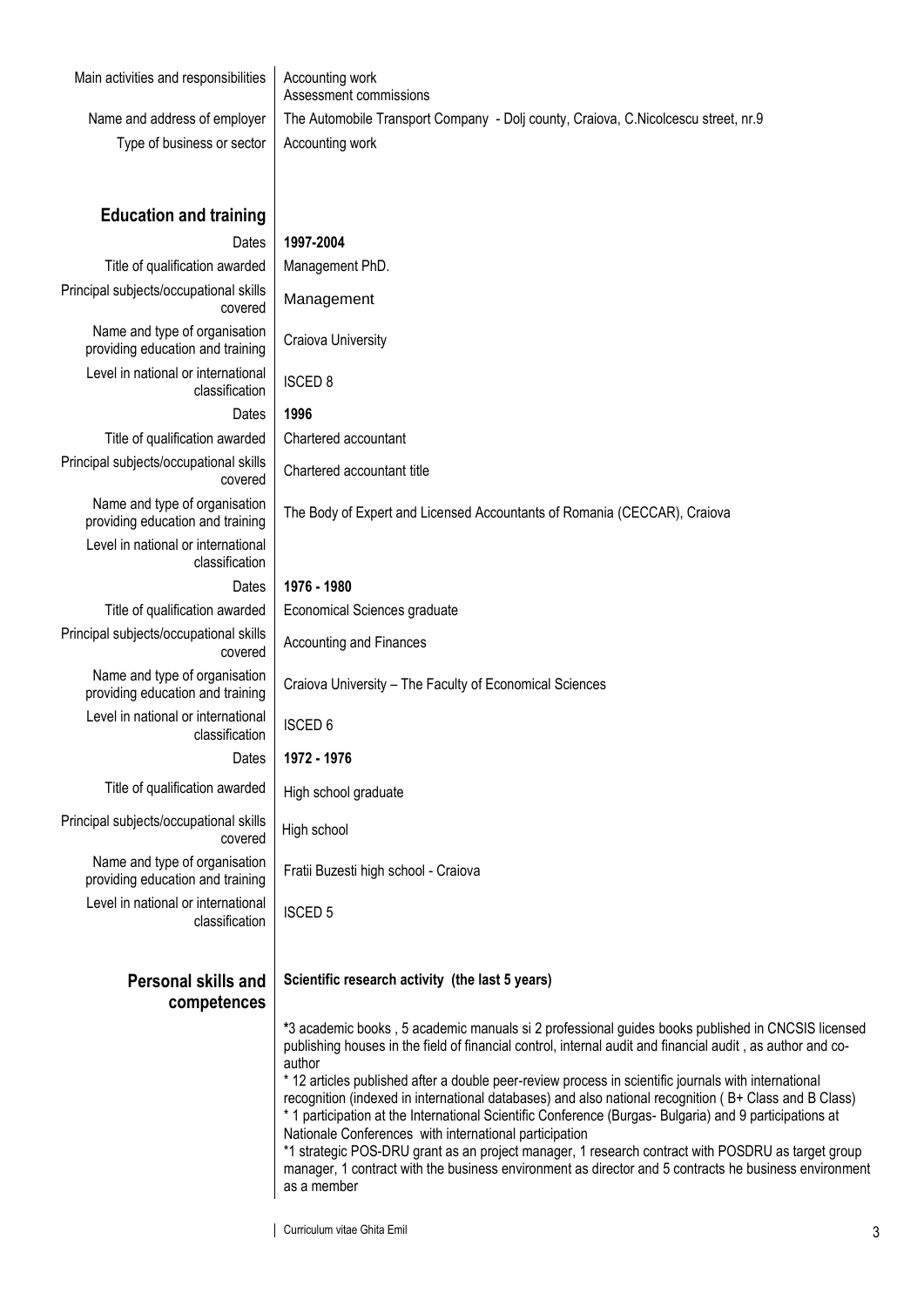| Main activities and responsibilities                              | Accounting work<br>Assessment commissions                                                                                                                                                                                                                                                                                                                                                                                                                                                                                                                                                                       |
|-------------------------------------------------------------------|-----------------------------------------------------------------------------------------------------------------------------------------------------------------------------------------------------------------------------------------------------------------------------------------------------------------------------------------------------------------------------------------------------------------------------------------------------------------------------------------------------------------------------------------------------------------------------------------------------------------|
| Name and address of employer                                      | The Automobile Transport Company - Dolj county, Craiova, C.Nicolcescu street, nr.9                                                                                                                                                                                                                                                                                                                                                                                                                                                                                                                              |
| Type of business or sector                                        | Accounting work                                                                                                                                                                                                                                                                                                                                                                                                                                                                                                                                                                                                 |
|                                                                   |                                                                                                                                                                                                                                                                                                                                                                                                                                                                                                                                                                                                                 |
|                                                                   |                                                                                                                                                                                                                                                                                                                                                                                                                                                                                                                                                                                                                 |
| <b>Education and training</b>                                     |                                                                                                                                                                                                                                                                                                                                                                                                                                                                                                                                                                                                                 |
| Dates                                                             | 1997-2004                                                                                                                                                                                                                                                                                                                                                                                                                                                                                                                                                                                                       |
| Title of qualification awarded                                    | Management PhD.                                                                                                                                                                                                                                                                                                                                                                                                                                                                                                                                                                                                 |
| Principal subjects/occupational skills<br>covered                 | Management                                                                                                                                                                                                                                                                                                                                                                                                                                                                                                                                                                                                      |
| Name and type of organisation<br>providing education and training | Craiova University                                                                                                                                                                                                                                                                                                                                                                                                                                                                                                                                                                                              |
| Level in national or international<br>classification              | <b>ISCED 8</b>                                                                                                                                                                                                                                                                                                                                                                                                                                                                                                                                                                                                  |
| Dates                                                             | 1996                                                                                                                                                                                                                                                                                                                                                                                                                                                                                                                                                                                                            |
| Title of qualification awarded                                    | Chartered accountant                                                                                                                                                                                                                                                                                                                                                                                                                                                                                                                                                                                            |
| Principal subjects/occupational skills<br>covered                 | Chartered accountant title                                                                                                                                                                                                                                                                                                                                                                                                                                                                                                                                                                                      |
| Name and type of organisation<br>providing education and training | The Body of Expert and Licensed Accountants of Romania (CECCAR), Craiova                                                                                                                                                                                                                                                                                                                                                                                                                                                                                                                                        |
| Level in national or international<br>classification              |                                                                                                                                                                                                                                                                                                                                                                                                                                                                                                                                                                                                                 |
| Dates                                                             | 1976 - 1980                                                                                                                                                                                                                                                                                                                                                                                                                                                                                                                                                                                                     |
| Title of qualification awarded                                    | Economical Sciences graduate                                                                                                                                                                                                                                                                                                                                                                                                                                                                                                                                                                                    |
| Principal subjects/occupational skills<br>covered                 | Accounting and Finances                                                                                                                                                                                                                                                                                                                                                                                                                                                                                                                                                                                         |
| Name and type of organisation<br>providing education and training | Craiova University - The Faculty of Economical Sciences                                                                                                                                                                                                                                                                                                                                                                                                                                                                                                                                                         |
| Level in national or international<br>classification              | <b>ISCED 6</b>                                                                                                                                                                                                                                                                                                                                                                                                                                                                                                                                                                                                  |
| Dates                                                             | 1972 - 1976                                                                                                                                                                                                                                                                                                                                                                                                                                                                                                                                                                                                     |
| Title of qualification awarded                                    | High school graduate                                                                                                                                                                                                                                                                                                                                                                                                                                                                                                                                                                                            |
| Principal subjects/occupational skills<br>covered                 | High school                                                                                                                                                                                                                                                                                                                                                                                                                                                                                                                                                                                                     |
| Name and type of organisation<br>providing education and training | Fratii Buzesti high school - Craiova                                                                                                                                                                                                                                                                                                                                                                                                                                                                                                                                                                            |
| Level in national or international<br>classification              | <b>ISCED 5</b>                                                                                                                                                                                                                                                                                                                                                                                                                                                                                                                                                                                                  |
| Personal skills and                                               | Scientific research activity (the last 5 years)                                                                                                                                                                                                                                                                                                                                                                                                                                                                                                                                                                 |
| competences                                                       |                                                                                                                                                                                                                                                                                                                                                                                                                                                                                                                                                                                                                 |
|                                                                   | *3 academic books, 5 academic manuals si 2 professional guides books published in CNCSIS licensed<br>publishing houses in the field of financial control, internal audit and financial audit, as author and co-<br>author                                                                                                                                                                                                                                                                                                                                                                                       |
|                                                                   | * 12 articles published after a double peer-review process in scientific journals with international<br>recognition (indexed in international databases) and also national recognition (B+ Class and B Class)<br>* 1 participation at the International Scientific Conference (Burgas- Bulgaria) and 9 participations at<br>Nationale Conferences with international participation<br>*1 strategic POS-DRU grant as an project manager, 1 research contract with POSDRU as target group<br>manager, 1 contract with the business environment as director and 5 contracts he business environment<br>as a member |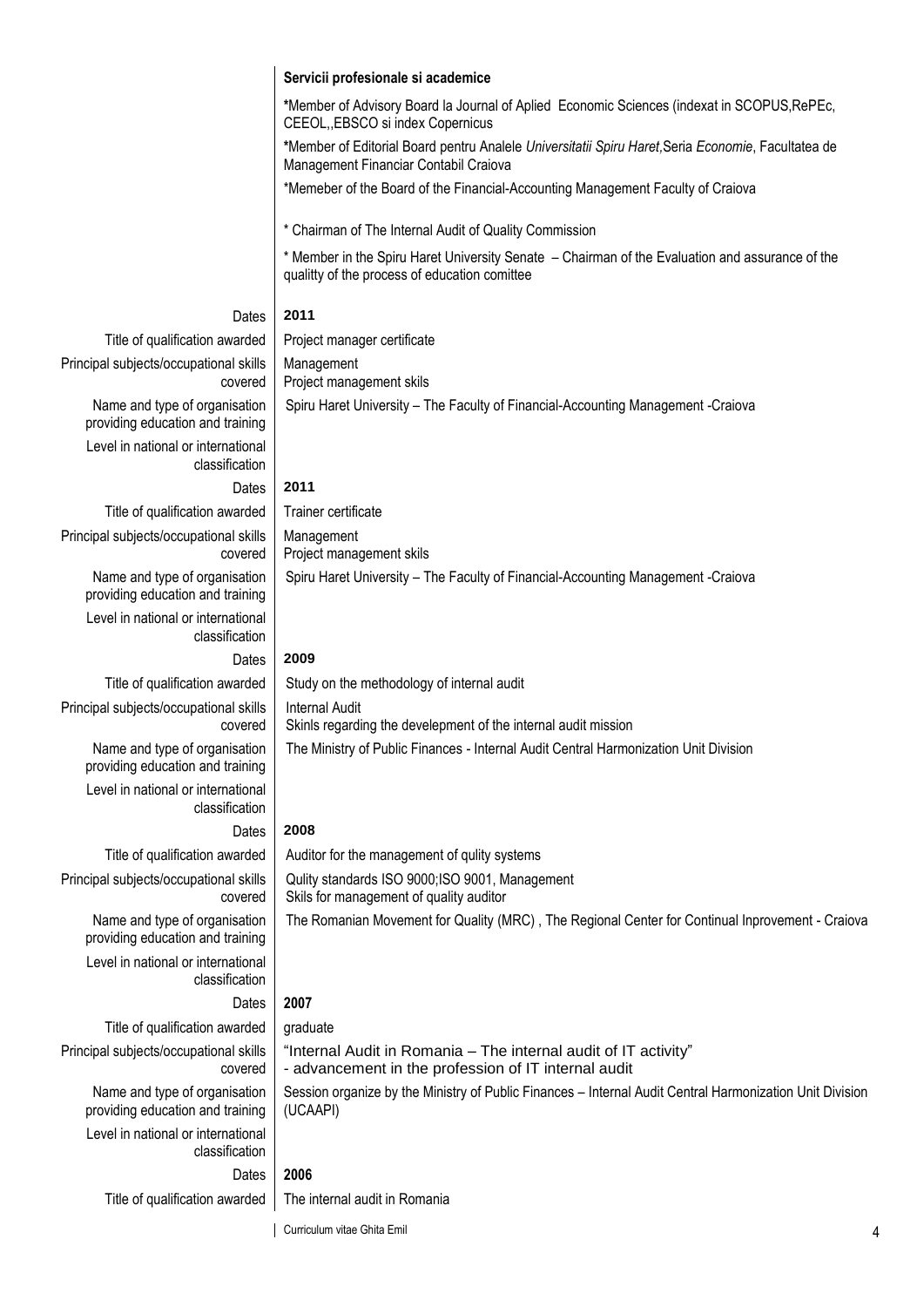|                                                                   | Servicii profesionale si academice                                                                                                               |
|-------------------------------------------------------------------|--------------------------------------------------------------------------------------------------------------------------------------------------|
|                                                                   | *Member of Advisory Board la Journal of Aplied Economic Sciences (indexat in SCOPUS, RePEc,<br>CEEOL, EBSCO si index Copernicus                  |
|                                                                   | *Member of Editorial Board pentru Analele Universitatii Spiru Haret, Seria Economie, Facultatea de<br>Management Financiar Contabil Craiova      |
|                                                                   | *Memeber of the Board of the Financial-Accounting Management Faculty of Craiova                                                                  |
|                                                                   | * Chairman of The Internal Audit of Quality Commission                                                                                           |
|                                                                   | * Member in the Spiru Haret University Senate - Chairman of the Evaluation and assurance of the<br>qualitty of the process of education comittee |
| Dates                                                             | 2011                                                                                                                                             |
| Title of qualification awarded                                    | Project manager certificate                                                                                                                      |
| Principal subjects/occupational skills<br>covered                 | Management<br>Project management skils                                                                                                           |
| Name and type of organisation<br>providing education and training | Spiru Haret University - The Faculty of Financial-Accounting Management -Craiova                                                                 |
| Level in national or international<br>classification              |                                                                                                                                                  |
| Dates                                                             | 2011                                                                                                                                             |
| Title of qualification awarded                                    | Trainer certificate                                                                                                                              |
| Principal subjects/occupational skills<br>covered                 | Management<br>Project management skils                                                                                                           |
| Name and type of organisation<br>providing education and training | Spiru Haret University - The Faculty of Financial-Accounting Management - Craiova                                                                |
| Level in national or international<br>classification              |                                                                                                                                                  |
| Dates                                                             | 2009                                                                                                                                             |
| Title of qualification awarded                                    | Study on the methodology of internal audit                                                                                                       |
| Principal subjects/occupational skills<br>covered                 | <b>Internal Audit</b><br>Skinls regarding the develepment of the internal audit mission                                                          |
| Name and type of organisation<br>providing education and training | The Ministry of Public Finances - Internal Audit Central Harmonization Unit Division                                                             |
| Level in national or international<br>classification              |                                                                                                                                                  |
| Dates                                                             | 2008                                                                                                                                             |
| Title of qualification awarded                                    | Auditor for the management of qulity systems                                                                                                     |
| Principal subjects/occupational skills<br>covered                 | Qulity standards ISO 9000;ISO 9001, Management<br>Skils for management of quality auditor                                                        |
| Name and type of organisation<br>providing education and training | The Romanian Movement for Quality (MRC), The Regional Center for Continual Inprovement - Craiova                                                 |
| Level in national or international<br>classification              |                                                                                                                                                  |
| Dates                                                             | 2007                                                                                                                                             |
| Title of qualification awarded                                    | graduate                                                                                                                                         |
| Principal subjects/occupational skills<br>covered                 | "Internal Audit in Romania - The internal audit of IT activity"<br>- advancement in the profession of IT internal audit                          |
| Name and type of organisation<br>providing education and training | Session organize by the Ministry of Public Finances - Internal Audit Central Harmonization Unit Division<br>(UCAAPI)                             |
| Level in national or international<br>classification              |                                                                                                                                                  |
| Dates                                                             | 2006                                                                                                                                             |
| Title of qualification awarded                                    | The internal audit in Romania                                                                                                                    |

Curriculum vitae Ghita Emil 4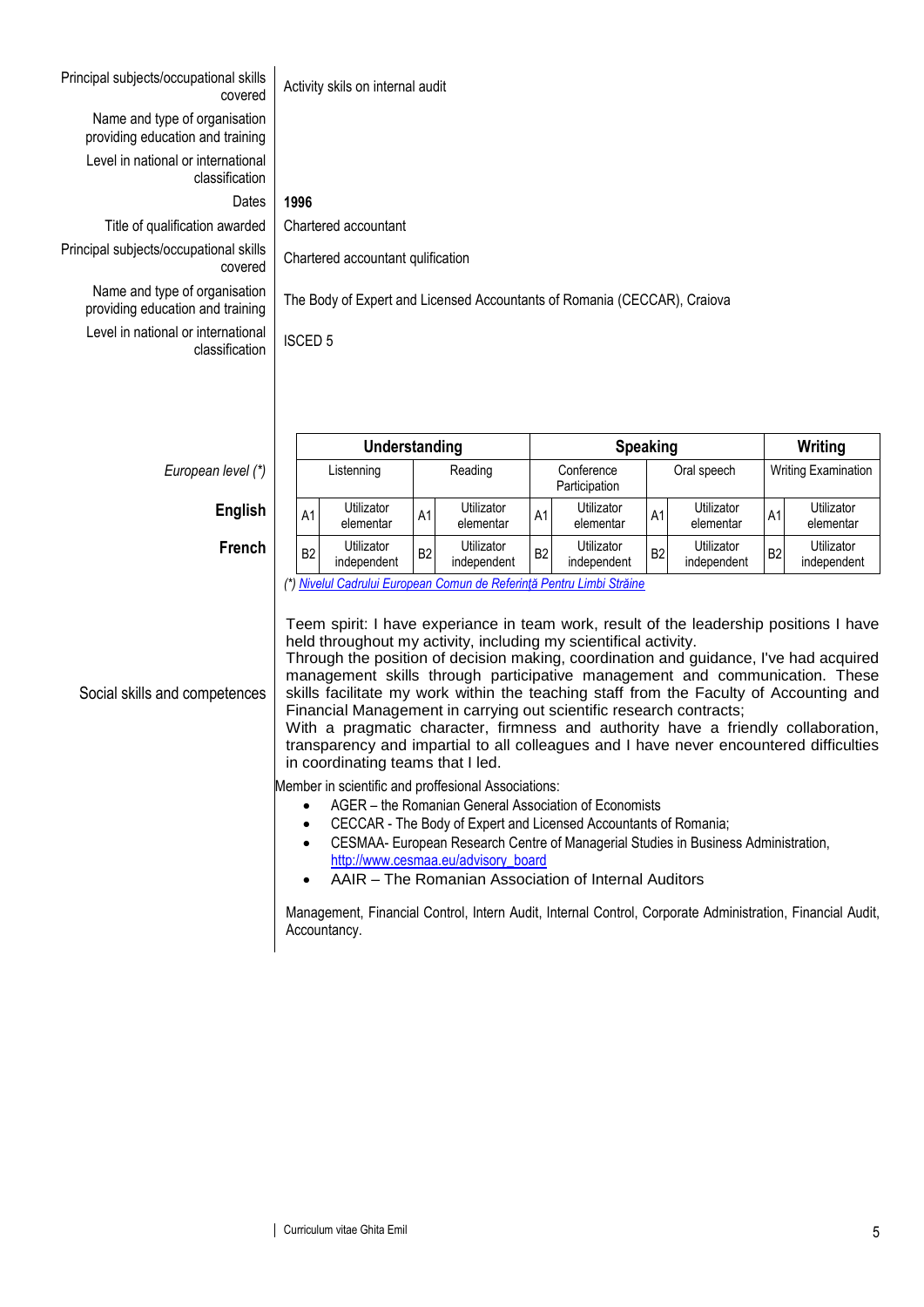| Principal subjects/occupational skills<br>covered                                                                                                                                                                                                                                                                                                                                                                                                                                                                                                                                                                                                                                                                                                                                                                                                                                                                                                                                                                                                                                                                                                                                                                                                                                                                                                                               |                | Activity skils on internal audit                                         |                |                           |                |                             |                 |                           |                |                            |
|---------------------------------------------------------------------------------------------------------------------------------------------------------------------------------------------------------------------------------------------------------------------------------------------------------------------------------------------------------------------------------------------------------------------------------------------------------------------------------------------------------------------------------------------------------------------------------------------------------------------------------------------------------------------------------------------------------------------------------------------------------------------------------------------------------------------------------------------------------------------------------------------------------------------------------------------------------------------------------------------------------------------------------------------------------------------------------------------------------------------------------------------------------------------------------------------------------------------------------------------------------------------------------------------------------------------------------------------------------------------------------|----------------|--------------------------------------------------------------------------|----------------|---------------------------|----------------|-----------------------------|-----------------|---------------------------|----------------|----------------------------|
| Name and type of organisation<br>providing education and training                                                                                                                                                                                                                                                                                                                                                                                                                                                                                                                                                                                                                                                                                                                                                                                                                                                                                                                                                                                                                                                                                                                                                                                                                                                                                                               |                |                                                                          |                |                           |                |                             |                 |                           |                |                            |
| Level in national or international<br>classification                                                                                                                                                                                                                                                                                                                                                                                                                                                                                                                                                                                                                                                                                                                                                                                                                                                                                                                                                                                                                                                                                                                                                                                                                                                                                                                            |                |                                                                          |                |                           |                |                             |                 |                           |                |                            |
| Dates                                                                                                                                                                                                                                                                                                                                                                                                                                                                                                                                                                                                                                                                                                                                                                                                                                                                                                                                                                                                                                                                                                                                                                                                                                                                                                                                                                           | 1996           |                                                                          |                |                           |                |                             |                 |                           |                |                            |
| Title of qualification awarded                                                                                                                                                                                                                                                                                                                                                                                                                                                                                                                                                                                                                                                                                                                                                                                                                                                                                                                                                                                                                                                                                                                                                                                                                                                                                                                                                  |                | Chartered accountant                                                     |                |                           |                |                             |                 |                           |                |                            |
| Principal subjects/occupational skills<br>covered                                                                                                                                                                                                                                                                                                                                                                                                                                                                                                                                                                                                                                                                                                                                                                                                                                                                                                                                                                                                                                                                                                                                                                                                                                                                                                                               |                | Chartered accountant qulification                                        |                |                           |                |                             |                 |                           |                |                            |
| Name and type of organisation<br>providing education and training                                                                                                                                                                                                                                                                                                                                                                                                                                                                                                                                                                                                                                                                                                                                                                                                                                                                                                                                                                                                                                                                                                                                                                                                                                                                                                               |                | The Body of Expert and Licensed Accountants of Romania (CECCAR), Craiova |                |                           |                |                             |                 |                           |                |                            |
| Level in national or international<br>classification                                                                                                                                                                                                                                                                                                                                                                                                                                                                                                                                                                                                                                                                                                                                                                                                                                                                                                                                                                                                                                                                                                                                                                                                                                                                                                                            | <b>ISCED 5</b> |                                                                          |                |                           |                |                             |                 |                           |                |                            |
|                                                                                                                                                                                                                                                                                                                                                                                                                                                                                                                                                                                                                                                                                                                                                                                                                                                                                                                                                                                                                                                                                                                                                                                                                                                                                                                                                                                 |                |                                                                          |                |                           |                |                             |                 |                           |                |                            |
|                                                                                                                                                                                                                                                                                                                                                                                                                                                                                                                                                                                                                                                                                                                                                                                                                                                                                                                                                                                                                                                                                                                                                                                                                                                                                                                                                                                 |                | Understanding                                                            |                |                           |                |                             | <b>Speaking</b> |                           |                | Writing                    |
| European level (*)                                                                                                                                                                                                                                                                                                                                                                                                                                                                                                                                                                                                                                                                                                                                                                                                                                                                                                                                                                                                                                                                                                                                                                                                                                                                                                                                                              |                | Listenning                                                               |                | Reading                   |                | Conference<br>Participation |                 | Oral speech               |                | <b>Writing Examination</b> |
| English                                                                                                                                                                                                                                                                                                                                                                                                                                                                                                                                                                                                                                                                                                                                                                                                                                                                                                                                                                                                                                                                                                                                                                                                                                                                                                                                                                         | A1             | Utilizator<br>elementar                                                  | A1             | Utilizator<br>elementar   | A1             | Utilizator<br>elementar     | A1              | Utilizator<br>elementar   | A1             | Utilizator<br>elementar    |
| <b>French</b>                                                                                                                                                                                                                                                                                                                                                                                                                                                                                                                                                                                                                                                                                                                                                                                                                                                                                                                                                                                                                                                                                                                                                                                                                                                                                                                                                                   | B <sub>2</sub> | Utilizator<br>independent                                                | B <sub>2</sub> | Utilizator<br>independent | B <sub>2</sub> | independent                 | B <sub>2</sub>  | Utilizator<br>independent | B <sub>2</sub> | Utilizator<br>independent  |
| Utilizator<br>(*) Nivelul Cadrului European Comun de Referință Pentru Limbi Străine<br>Teem spirit: I have experiance in team work, result of the leadership positions I have<br>held throughout my activity, including my scientifical activity.<br>Through the position of decision making, coordination and guidance, I've had acquired<br>management skills through participative management and communication. These<br>skills facilitate my work within the teaching staff from the Faculty of Accounting and<br>Social skills and competences<br>Financial Management in carrying out scientific research contracts;<br>With a pragmatic character, firmness and authority have a friendly collaboration,<br>transparency and impartial to all colleagues and I have never encountered difficulties<br>in coordinating teams that I led.<br>Member in scientific and proffesional Associations:<br>AGER - the Romanian General Association of Economists<br>CECCAR - The Body of Expert and Licensed Accountants of Romania;<br>$\bullet$<br>CESMAA- European Research Centre of Managerial Studies in Business Administration,<br>$\bullet$<br>http://www.cesmaa.eu/advisory_board<br>AAIR - The Romanian Association of Internal Auditors<br>Management, Financial Control, Intern Audit, Internal Control, Corporate Administration, Financial Audit,<br>Accountancy. |                |                                                                          |                |                           |                |                             |                 |                           |                |                            |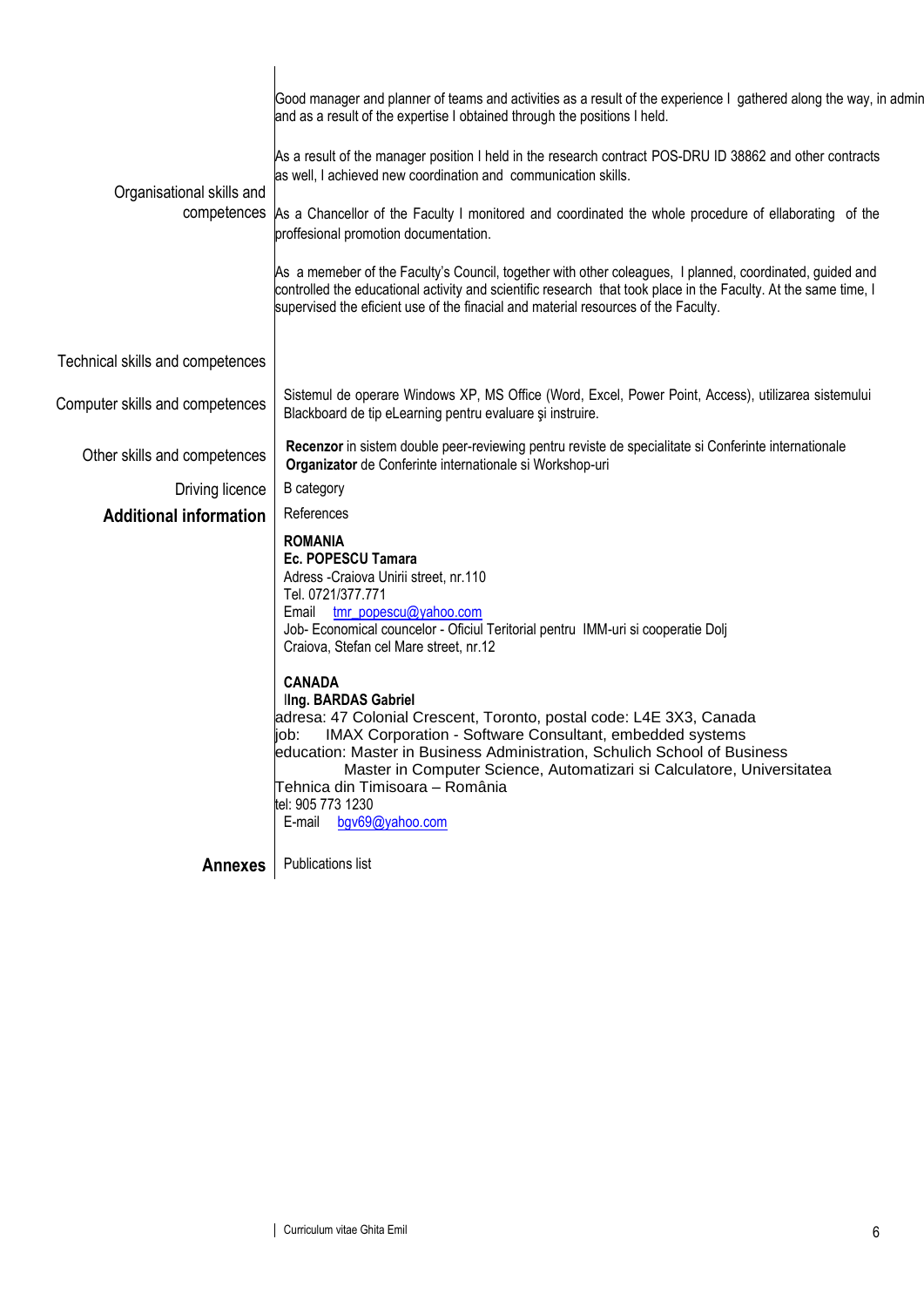| and as a result of the expertise I obtained through the positions I held.<br>As a result of the manager position I held in the research contract POS-DRU ID 38862 and other contracts<br>as well, I achieved new coordination and communication skills.<br>Organisational skills and<br>competences As a Chancellor of the Faculty I monitored and coordinated the whole procedure of ellaborating of the<br>proffesional promotion documentation.<br>As a memeber of the Faculty's Council, together with other coleagues, I planned, coordinated, guided and<br>controlled the educational activity and scientific research that took place in the Faculty. At the same time, I<br>supervised the eficient use of the finacial and material resources of the Faculty.<br>Technical skills and competences<br>Sistemul de operare Windows XP, MS Office (Word, Excel, Power Point, Access), utilizarea sistemului<br>Computer skills and competences<br>Blackboard de tip eLearning pentru evaluare și instruire.<br>Recenzor in sistem double peer-reviewing pentru reviste de specialitate si Conferinte internationale<br>Other skills and competences<br>Organizator de Conferinte internationale si Workshop-uri<br>Driving licence<br>B category<br>References<br><b>Additional information</b><br><b>ROMANIA</b><br>Ec. POPESCU Tamara<br>Adress -Craiova Unirii street, nr.110<br>Tel. 0721/377.771<br>Email tmr_popescu@yahoo.com<br>Job- Economical councelor - Oficiul Teritorial pentru IMM-uri si cooperatie Dolj<br>Craiova, Stefan cel Mare street, nr.12<br><b>CANADA</b><br><b>Ing. BARDAS Gabriel</b><br>adresa: 47 Colonial Crescent, Toronto, postal code: L4E 3X3, Canada<br><b>IMAX Corporation - Software Consultant, embedded systems</b><br>IOD:<br>education: Master in Business Administration, Schulich School of Business<br>Master in Computer Science, Automatizari si Calculatore, Universitatea<br>Tehnica din Timisoara – România<br>tel: 905 773 1230<br>E-mail bgv69@yahoo.com<br>Publications list<br><b>Annexes</b> |                                                                                                                   |
|------------------------------------------------------------------------------------------------------------------------------------------------------------------------------------------------------------------------------------------------------------------------------------------------------------------------------------------------------------------------------------------------------------------------------------------------------------------------------------------------------------------------------------------------------------------------------------------------------------------------------------------------------------------------------------------------------------------------------------------------------------------------------------------------------------------------------------------------------------------------------------------------------------------------------------------------------------------------------------------------------------------------------------------------------------------------------------------------------------------------------------------------------------------------------------------------------------------------------------------------------------------------------------------------------------------------------------------------------------------------------------------------------------------------------------------------------------------------------------------------------------------------------------------------------------------------------------------------------------------------------------------------------------------------------------------------------------------------------------------------------------------------------------------------------------------------------------------------------------------------------------------------------------------------------------------------------------------------------------------------------------------------------------------------------------|-------------------------------------------------------------------------------------------------------------------|
|                                                                                                                                                                                                                                                                                                                                                                                                                                                                                                                                                                                                                                                                                                                                                                                                                                                                                                                                                                                                                                                                                                                                                                                                                                                                                                                                                                                                                                                                                                                                                                                                                                                                                                                                                                                                                                                                                                                                                                                                                                                            | Good manager and planner of teams and activities as a result of the experience I gathered along the way, in admin |
|                                                                                                                                                                                                                                                                                                                                                                                                                                                                                                                                                                                                                                                                                                                                                                                                                                                                                                                                                                                                                                                                                                                                                                                                                                                                                                                                                                                                                                                                                                                                                                                                                                                                                                                                                                                                                                                                                                                                                                                                                                                            |                                                                                                                   |
|                                                                                                                                                                                                                                                                                                                                                                                                                                                                                                                                                                                                                                                                                                                                                                                                                                                                                                                                                                                                                                                                                                                                                                                                                                                                                                                                                                                                                                                                                                                                                                                                                                                                                                                                                                                                                                                                                                                                                                                                                                                            |                                                                                                                   |
|                                                                                                                                                                                                                                                                                                                                                                                                                                                                                                                                                                                                                                                                                                                                                                                                                                                                                                                                                                                                                                                                                                                                                                                                                                                                                                                                                                                                                                                                                                                                                                                                                                                                                                                                                                                                                                                                                                                                                                                                                                                            |                                                                                                                   |
|                                                                                                                                                                                                                                                                                                                                                                                                                                                                                                                                                                                                                                                                                                                                                                                                                                                                                                                                                                                                                                                                                                                                                                                                                                                                                                                                                                                                                                                                                                                                                                                                                                                                                                                                                                                                                                                                                                                                                                                                                                                            |                                                                                                                   |
|                                                                                                                                                                                                                                                                                                                                                                                                                                                                                                                                                                                                                                                                                                                                                                                                                                                                                                                                                                                                                                                                                                                                                                                                                                                                                                                                                                                                                                                                                                                                                                                                                                                                                                                                                                                                                                                                                                                                                                                                                                                            |                                                                                                                   |
|                                                                                                                                                                                                                                                                                                                                                                                                                                                                                                                                                                                                                                                                                                                                                                                                                                                                                                                                                                                                                                                                                                                                                                                                                                                                                                                                                                                                                                                                                                                                                                                                                                                                                                                                                                                                                                                                                                                                                                                                                                                            |                                                                                                                   |
|                                                                                                                                                                                                                                                                                                                                                                                                                                                                                                                                                                                                                                                                                                                                                                                                                                                                                                                                                                                                                                                                                                                                                                                                                                                                                                                                                                                                                                                                                                                                                                                                                                                                                                                                                                                                                                                                                                                                                                                                                                                            |                                                                                                                   |
|                                                                                                                                                                                                                                                                                                                                                                                                                                                                                                                                                                                                                                                                                                                                                                                                                                                                                                                                                                                                                                                                                                                                                                                                                                                                                                                                                                                                                                                                                                                                                                                                                                                                                                                                                                                                                                                                                                                                                                                                                                                            |                                                                                                                   |
|                                                                                                                                                                                                                                                                                                                                                                                                                                                                                                                                                                                                                                                                                                                                                                                                                                                                                                                                                                                                                                                                                                                                                                                                                                                                                                                                                                                                                                                                                                                                                                                                                                                                                                                                                                                                                                                                                                                                                                                                                                                            |                                                                                                                   |
|                                                                                                                                                                                                                                                                                                                                                                                                                                                                                                                                                                                                                                                                                                                                                                                                                                                                                                                                                                                                                                                                                                                                                                                                                                                                                                                                                                                                                                                                                                                                                                                                                                                                                                                                                                                                                                                                                                                                                                                                                                                            |                                                                                                                   |
|                                                                                                                                                                                                                                                                                                                                                                                                                                                                                                                                                                                                                                                                                                                                                                                                                                                                                                                                                                                                                                                                                                                                                                                                                                                                                                                                                                                                                                                                                                                                                                                                                                                                                                                                                                                                                                                                                                                                                                                                                                                            |                                                                                                                   |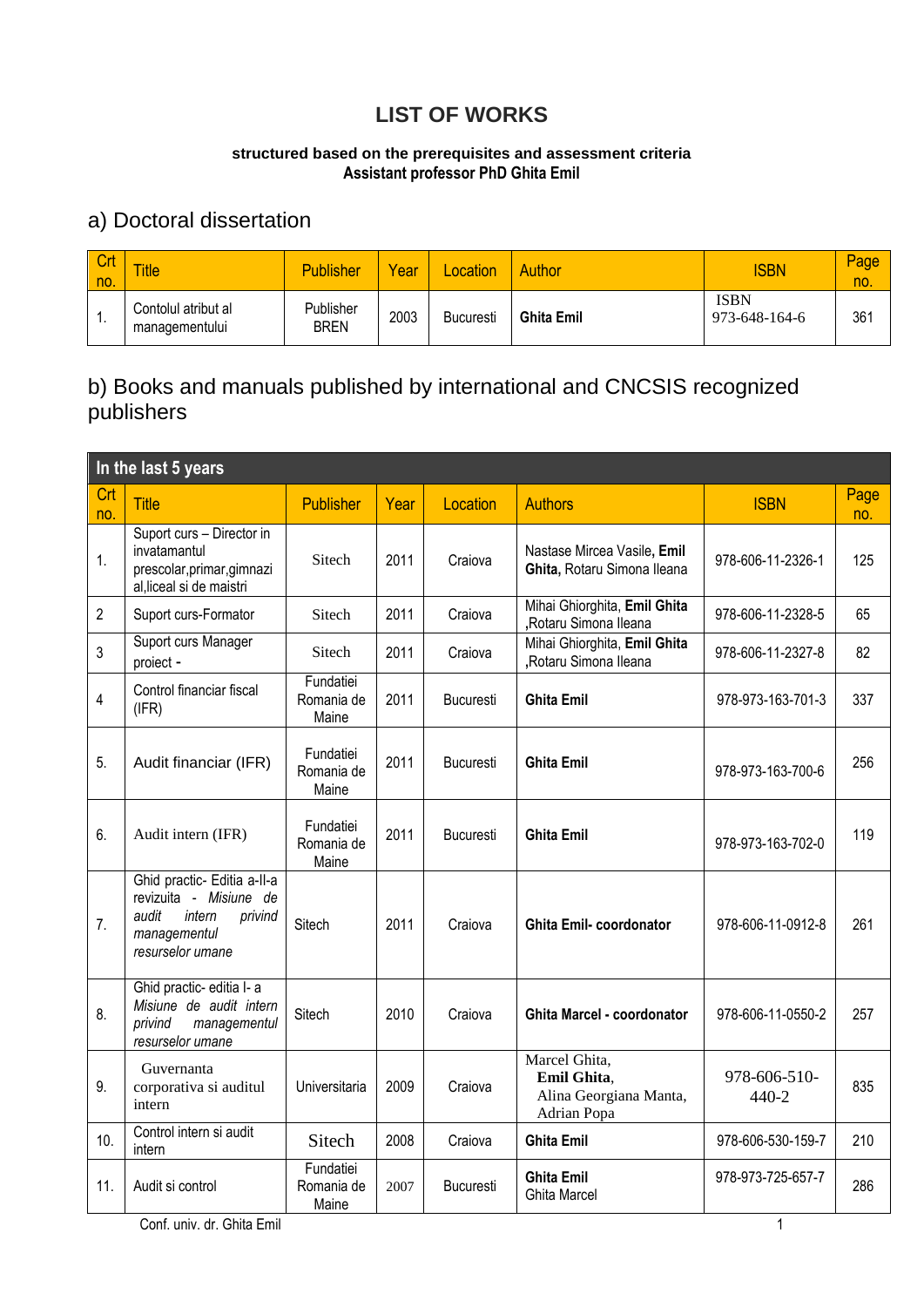### **LIST OF WORKS**

#### **structured based on the prerequisites and assessment criteria Assistant professor PhD Ghita Emil**

### a) Doctoral dissertation

| Crt<br><b>Ino</b> | <b>Title</b>                          | <b>Publisher</b>         | Year | <b>Location</b>  | Author            | <b>ISBN</b>                  | Page<br>no. |
|-------------------|---------------------------------------|--------------------------|------|------------------|-------------------|------------------------------|-------------|
| . .               | Contolul atribut al<br>managementului | Publisher<br><b>BREN</b> | 2003 | <b>Bucuresti</b> | <b>Ghita Emil</b> | <b>ISBN</b><br>973-648-164-6 | 361         |

#### b) Books and manuals published by international and CNCSIS recognized publishers

|            | In the last 5 years                                                                                                     |                                  |      |                  |                                                                       |                       |             |  |  |  |
|------------|-------------------------------------------------------------------------------------------------------------------------|----------------------------------|------|------------------|-----------------------------------------------------------------------|-----------------------|-------------|--|--|--|
| Crt<br>no. | <b>Title</b>                                                                                                            | <b>Publisher</b>                 | Year | Location         | <b>Authors</b>                                                        | <b>ISBN</b>           | Page<br>no. |  |  |  |
| 1.         | Suport curs - Director in<br>invatamantul<br>prescolar, primar, gimnazi<br>al, liceal si de maistri                     | Sitech                           | 2011 | Craiova          | Nastase Mircea Vasile, Emil<br>Ghita, Rotaru Simona Ileana            | 978-606-11-2326-1     | 125         |  |  |  |
| 2          | Suport curs-Formator                                                                                                    | Sitech                           | 2011 | Craiova          | Mihai Ghiorghita, Emil Ghita<br>,Rotaru Simona Ileana                 | 978-606-11-2328-5     | 65          |  |  |  |
| 3          | Suport curs Manager<br>proiect -                                                                                        | Sitech                           | 2011 | Craiova          | Mihai Ghiorghita, Emil Ghita<br>,Rotaru Simona Ileana                 | 978-606-11-2327-8     | 82          |  |  |  |
| 4          | Control financiar fiscal<br>(IFR)                                                                                       | Fundatiei<br>Romania de<br>Maine | 2011 | Bucuresti        | <b>Ghita Emil</b>                                                     | 978-973-163-701-3     | 337         |  |  |  |
| 5.         | Audit financiar (IFR)                                                                                                   | Fundatiei<br>Romania de<br>Maine | 2011 | <b>Bucuresti</b> | <b>Ghita Emil</b>                                                     | 978-973-163-700-6     | 256         |  |  |  |
| 6.         | Audit intern (IFR)                                                                                                      | Fundatiei<br>Romania de<br>Maine | 2011 | <b>Bucuresti</b> | <b>Ghita Emil</b>                                                     | 978-973-163-702-0     | 119         |  |  |  |
| 7.         | Ghid practic- Editia a-II-a<br>revizuita - Misiune de<br>audit<br>intern<br>privind<br>managementul<br>resurselor umane | Sitech                           | 2011 | Craiova          | <b>Ghita Emil-coordonator</b>                                         | 978-606-11-0912-8     | 261         |  |  |  |
| 8.         | Ghid practic- editia I- a<br>Misiune de audit intern<br>privind<br>managementul<br>resurselor umane                     | Sitech                           | 2010 | Craiova          | Ghita Marcel - coordonator                                            | 978-606-11-0550-2     | 257         |  |  |  |
| 9.         | Guvernanta<br>corporativa si auditul<br>intern                                                                          | Universitaria                    | 2009 | Craiova          | Marcel Ghita,<br>Emil Ghita,<br>Alina Georgiana Manta,<br>Adrian Popa | 978-606-510-<br>440-2 | 835         |  |  |  |
| 10.        | Control intern si audit<br>intern                                                                                       | Sitech                           | 2008 | Craiova          | <b>Ghita Emil</b>                                                     | 978-606-530-159-7     | 210         |  |  |  |
| 11.        | Audit si control                                                                                                        | Fundatiei<br>Romania de<br>Maine | 2007 | Bucuresti        | <b>Ghita Emil</b><br><b>Ghita Marcel</b>                              | 978-973-725-657-7     | 286         |  |  |  |

Conf. univ. dr. Ghita Emil 1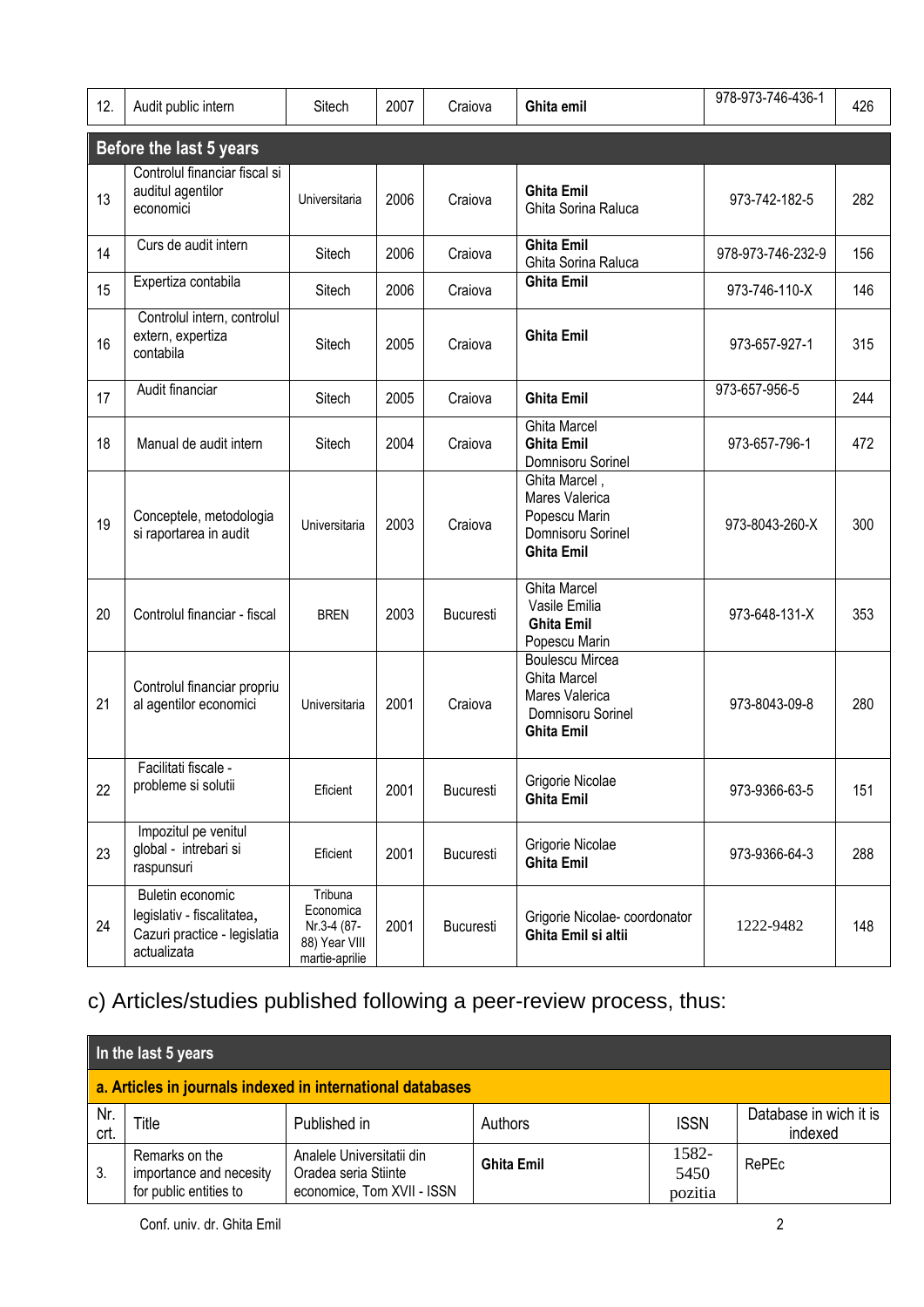| 12. | Audit public intern                                                                           | Sitech                                                                 | 2007 | Craiova          | Ghita emil                                                                                                | 978-973-746-436-1 | 426 |
|-----|-----------------------------------------------------------------------------------------------|------------------------------------------------------------------------|------|------------------|-----------------------------------------------------------------------------------------------------------|-------------------|-----|
|     | Before the last 5 years                                                                       |                                                                        |      |                  |                                                                                                           |                   |     |
| 13  | Controlul financiar fiscal si<br>auditul agentilor<br>economici                               | Universitaria                                                          | 2006 | Craiova          | <b>Ghita Emil</b><br>Ghita Sorina Raluca                                                                  | 973-742-182-5     | 282 |
| 14  | Curs de audit intern                                                                          | Sitech                                                                 | 2006 | Craiova          | <b>Ghita Emil</b><br>Ghita Sorina Raluca                                                                  | 978-973-746-232-9 | 156 |
| 15  | Expertiza contabila                                                                           | Sitech                                                                 | 2006 | Craiova          | <b>Ghita Emil</b>                                                                                         | 973-746-110-X     | 146 |
| 16  | Controlul intern, controlul<br>extern, expertiza<br>contabila                                 | Sitech                                                                 | 2005 | Craiova          | <b>Ghita Emil</b>                                                                                         | 973-657-927-1     | 315 |
| 17  | Audit financiar                                                                               | Sitech                                                                 | 2005 | Craiova          | <b>Ghita Emil</b>                                                                                         | 973-657-956-5     | 244 |
| 18  | Manual de audit intern                                                                        | Sitech                                                                 | 2004 | Craiova          | <b>Ghita Marcel</b><br><b>Ghita Emil</b><br>Domnisoru Sorinel                                             | 973-657-796-1     | 472 |
| 19  | Conceptele, metodologia<br>si raportarea in audit                                             | Universitaria                                                          | 2003 | Craiova          | Ghita Marcel,<br>Mares Valerica<br>Popescu Marin<br>Domnisoru Sorinel<br><b>Ghita Emil</b>                | 973-8043-260-X    | 300 |
| 20  | Controlul financiar - fiscal                                                                  | <b>BREN</b>                                                            | 2003 | <b>Bucuresti</b> | <b>Ghita Marcel</b><br>Vasile Emilia<br><b>Ghita Emil</b><br>Popescu Marin                                | 973-648-131-X     | 353 |
| 21  | Controlul financiar propriu<br>al agentilor economici                                         | Universitaria                                                          | 2001 | Craiova          | <b>Boulescu Mircea</b><br><b>Ghita Marcel</b><br>Mares Valerica<br>Domnisoru Sorinel<br><b>Ghita Emil</b> | 973-8043-09-8     | 280 |
| 22  | Facilitati fiscale -<br>probleme si solutii                                                   | Eficient                                                               | 2001 | <b>Bucuresti</b> | Grigorie Nicolae<br><b>Ghita Emil</b>                                                                     | 973-9366-63-5     | 151 |
| 23  | Impozitul pe venitul<br>global - intrebari si<br>raspunsuri                                   | Eficient                                                               | 2001 | Bucuresti        | Grigorie Nicolae<br><b>Ghita Emil</b>                                                                     | 973-9366-64-3     | 288 |
| 24  | Buletin economic<br>legislativ - fiscalitatea,<br>Cazuri practice - legislatia<br>actualizata | Tribuna<br>Economica<br>Nr.3-4 (87-<br>88) Year VIII<br>martie-aprilie | 2001 | Bucuresti        | Grigorie Nicolae-coordonator<br>Ghita Emil si altii                                                       | 1222-9482         | 148 |

# c) Articles/studies published following a peer-review process, thus:

| In the last 5 years                                        |                                                                     |                                                                                 |                   |                          |                                   |  |  |  |
|------------------------------------------------------------|---------------------------------------------------------------------|---------------------------------------------------------------------------------|-------------------|--------------------------|-----------------------------------|--|--|--|
| a. Articles in journals indexed in international databases |                                                                     |                                                                                 |                   |                          |                                   |  |  |  |
| Nr.<br>crt.                                                | Title                                                               | Published in                                                                    | Authors           | <b>ISSN</b>              | Database in wich it is<br>indexed |  |  |  |
| 3.                                                         | Remarks on the<br>importance and necesity<br>for public entities to | Analele Universitatii din<br>Oradea seria Stiinte<br>economice, Tom XVII - ISSN | <b>Ghita Emil</b> | 1582-<br>5450<br>pozitia | RePEc                             |  |  |  |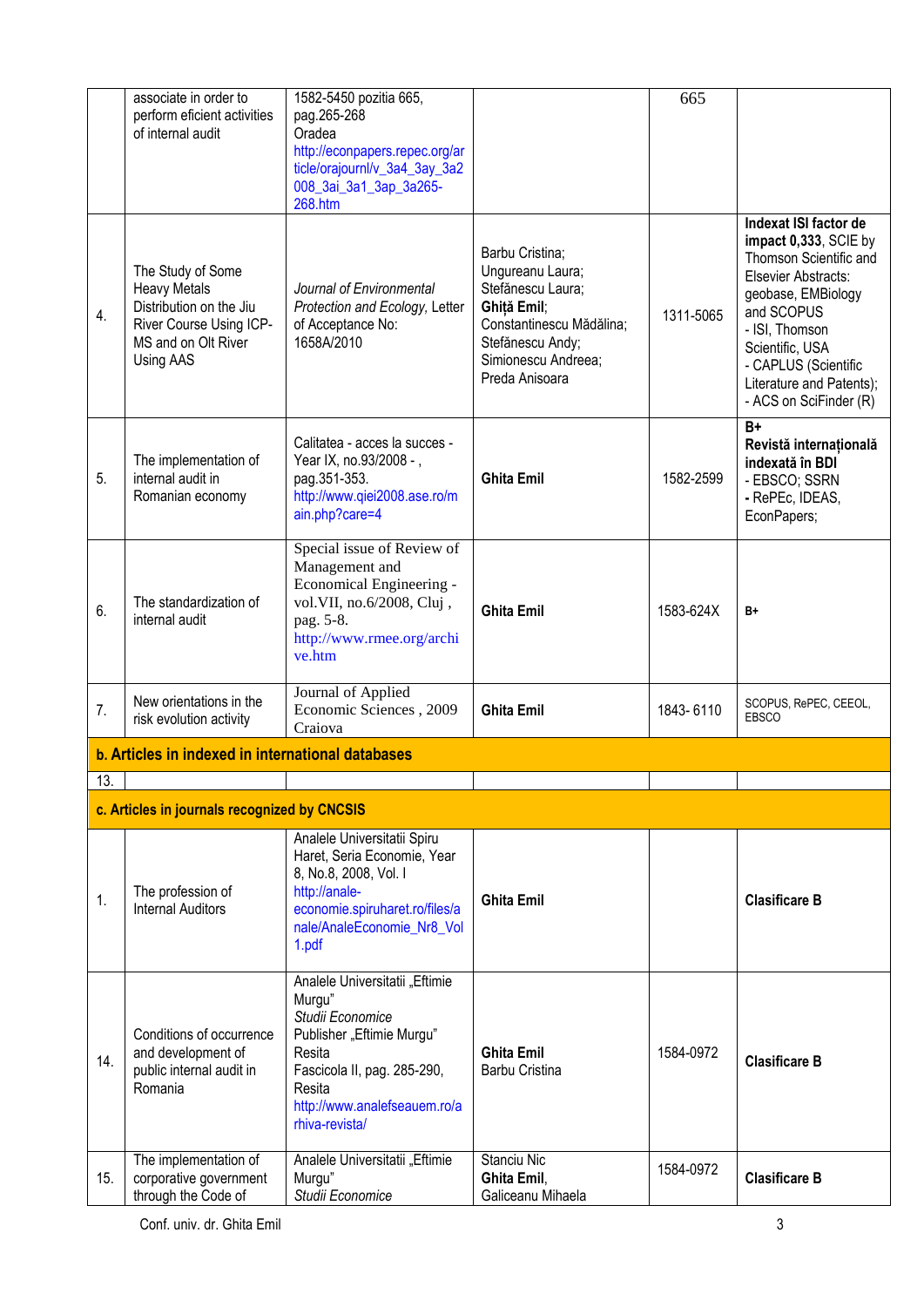|     | associate in order to                                                                                                              | 1582-5450 pozitia 665,                                                                                                                                                                         |                                                                                                                                                                  | 665       |                                                                                                                                                                                                                                                        |
|-----|------------------------------------------------------------------------------------------------------------------------------------|------------------------------------------------------------------------------------------------------------------------------------------------------------------------------------------------|------------------------------------------------------------------------------------------------------------------------------------------------------------------|-----------|--------------------------------------------------------------------------------------------------------------------------------------------------------------------------------------------------------------------------------------------------------|
|     | perform eficient activities<br>of internal audit                                                                                   | pag.265-268<br>Oradea<br>http://econpapers.repec.org/ar<br>ticle/orajournl/v_3a4_3ay_3a2<br>008_3ai_3a1_3ap_3a265-<br>268.htm                                                                  |                                                                                                                                                                  |           |                                                                                                                                                                                                                                                        |
| 4.  | The Study of Some<br><b>Heavy Metals</b><br>Distribution on the Jiu<br>River Course Using ICP-<br>MS and on Olt River<br>Using AAS | Journal of Environmental<br>Protection and Ecology, Letter<br>of Acceptance No:<br>1658A/2010                                                                                                  | Barbu Cristina;<br>Ungureanu Laura;<br>Stefănescu Laura;<br>Ghiță Emil;<br>Constantinescu Mădălina;<br>Stefănescu Andy;<br>Simionescu Andreea;<br>Preda Anisoara | 1311-5065 | Indexat ISI factor de<br>impact 0,333, SCIE by<br>Thomson Scientific and<br>Elsevier Abstracts:<br>geobase, EMBiology<br>and SCOPUS<br>- ISI, Thomson<br>Scientific, USA<br>- CAPLUS (Scientific<br>Literature and Patents);<br>- ACS on SciFinder (R) |
| 5.  | The implementation of<br>internal audit in<br>Romanian economy                                                                     | Calitatea - acces la succes -<br>Year IX, no.93/2008 - ,<br>pag.351-353.<br>http://www.qiei2008.ase.ro/m<br>ain.php?care=4                                                                     | <b>Ghita Emil</b>                                                                                                                                                | 1582-2599 | $\overline{B+}$<br>Revistă internațională<br>indexată în BDI<br>- EBSCO; SSRN<br>- RePEc, IDEAS,<br>EconPapers;                                                                                                                                        |
| 6.  | The standardization of<br>internal audit                                                                                           | Special issue of Review of<br>Management and<br>Economical Engineering -<br>vol.VII, no.6/2008, Cluj,<br>pag. 5-8.<br>http://www.rmee.org/archi<br>ve.htm                                      | <b>Ghita Emil</b>                                                                                                                                                | 1583-624X | B+                                                                                                                                                                                                                                                     |
| 7.  | New orientations in the<br>risk evolution activity                                                                                 | Journal of Applied<br>Economic Sciences, 2009<br>Craiova                                                                                                                                       | <b>Ghita Emil</b>                                                                                                                                                | 1843-6110 | SCOPUS, RePEC, CEEOL,<br><b>EBSCO</b>                                                                                                                                                                                                                  |
|     | b. Articles in indexed in international databases                                                                                  |                                                                                                                                                                                                |                                                                                                                                                                  |           |                                                                                                                                                                                                                                                        |
| 13. |                                                                                                                                    |                                                                                                                                                                                                |                                                                                                                                                                  |           |                                                                                                                                                                                                                                                        |
|     | c. Articles in journals recognized by CNCSIS                                                                                       |                                                                                                                                                                                                |                                                                                                                                                                  |           |                                                                                                                                                                                                                                                        |
| 1.  | The profession of<br><b>Internal Auditors</b>                                                                                      | Analele Universitatii Spiru<br>Haret, Seria Economie, Year<br>8, No.8, 2008, Vol. I<br>http://anale-<br>economie.spiruharet.ro/files/a<br>nale/AnaleEconomie_Nr8_Vol<br>1.pdf                  | <b>Ghita Emil</b>                                                                                                                                                |           | <b>Clasificare B</b>                                                                                                                                                                                                                                   |
| 14. | Conditions of occurrence<br>and development of<br>public internal audit in<br>Romania                                              | Analele Universitatii "Eftimie<br>Murgu"<br>Studii Economice<br>Publisher "Eftimie Murgu"<br>Resita<br>Fascicola II, pag. 285-290,<br>Resita<br>http://www.analefseauem.ro/a<br>rhiva-revista/ | <b>Ghita Emil</b><br>Barbu Cristina                                                                                                                              | 1584-0972 | <b>Clasificare B</b>                                                                                                                                                                                                                                   |
| 15. | The implementation of<br>corporative government<br>through the Code of                                                             | Analele Universitatii "Eftimie<br>Murgu"<br>Studii Economice                                                                                                                                   | Stanciu Nic<br>Ghita Emil,<br>Galiceanu Mihaela                                                                                                                  | 1584-0972 | <b>Clasificare B</b>                                                                                                                                                                                                                                   |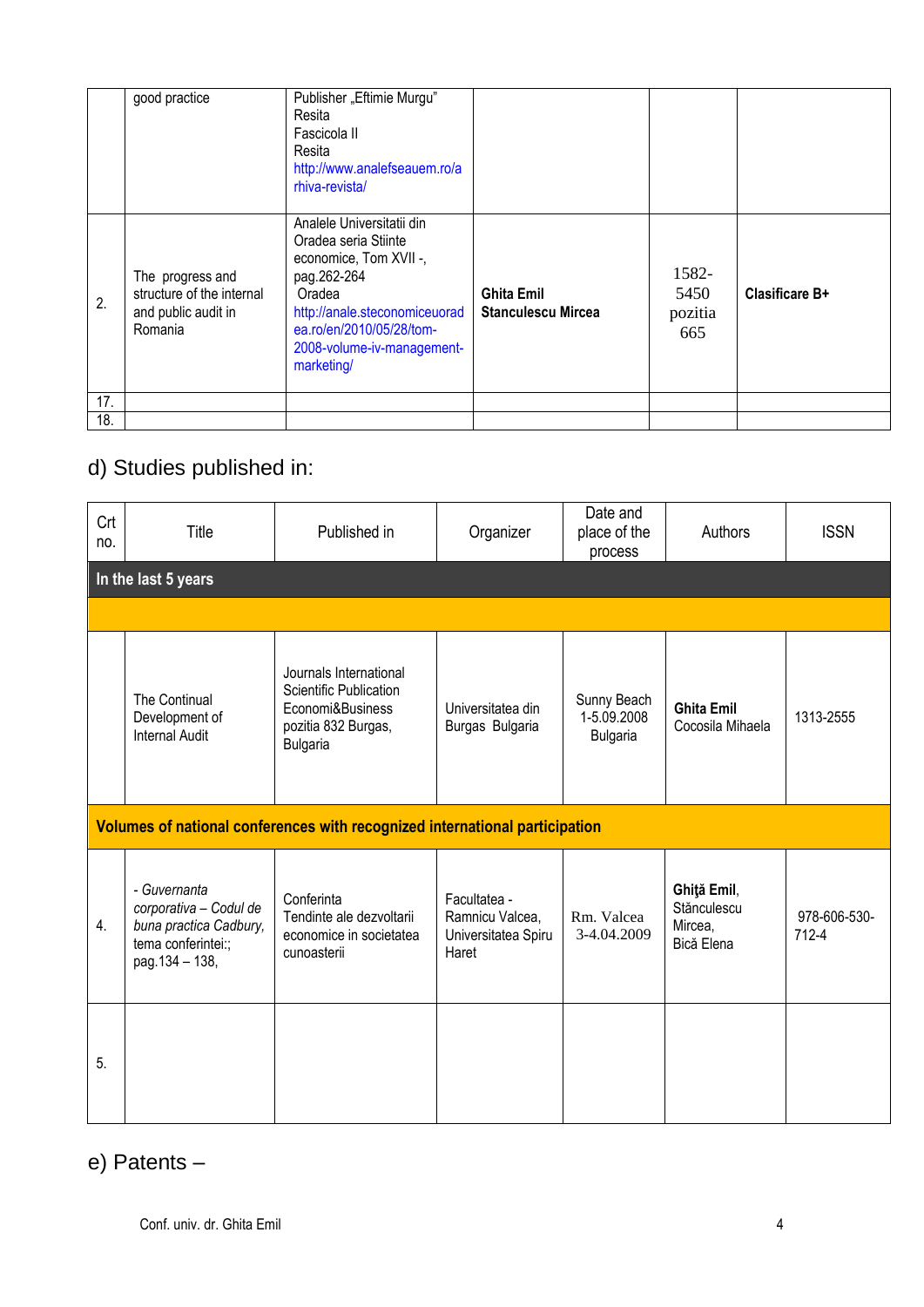|     | good practice                                                                   | Publisher "Eftimie Murgu"<br>Resita<br>Fascicola II<br>Resita<br>http://www.analefseauem.ro/a<br>rhiva-revista/                                                                                               |                                                |                                 |                |
|-----|---------------------------------------------------------------------------------|---------------------------------------------------------------------------------------------------------------------------------------------------------------------------------------------------------------|------------------------------------------------|---------------------------------|----------------|
| 2.  | The progress and<br>structure of the internal<br>and public audit in<br>Romania | Analele Universitatii din<br>Oradea seria Stiinte<br>economice, Tom XVII -,<br>pag.262-264<br>Oradea<br>http://anale.steconomiceuorad<br>ea.ro/en/2010/05/28/tom-<br>2008-volume-iv-management-<br>marketing/ | <b>Ghita Emil</b><br><b>Stanculescu Mircea</b> | 1582-<br>5450<br>pozitia<br>665 | Clasificare B+ |
| 17. |                                                                                 |                                                                                                                                                                                                               |                                                |                                 |                |
| 18. |                                                                                 |                                                                                                                                                                                                               |                                                |                                 |                |

## d) Studies published in:

| Crt<br>no.                                                                  | Title                                                                                                    | Published in                                                                                                   | Organizer                                                       | Date and<br>place of the<br>process           | Authors                                             | <b>ISSN</b>           |  |  |  |
|-----------------------------------------------------------------------------|----------------------------------------------------------------------------------------------------------|----------------------------------------------------------------------------------------------------------------|-----------------------------------------------------------------|-----------------------------------------------|-----------------------------------------------------|-----------------------|--|--|--|
|                                                                             | In the last 5 years                                                                                      |                                                                                                                |                                                                 |                                               |                                                     |                       |  |  |  |
|                                                                             |                                                                                                          |                                                                                                                |                                                                 |                                               |                                                     |                       |  |  |  |
|                                                                             | The Continual<br>Development of<br><b>Internal Audit</b>                                                 | Journals International<br>Scientific Publication<br>Economi&Business<br>pozitia 832 Burgas,<br><b>Bulgaria</b> | Universitatea din<br>Burgas Bulgaria                            | Sunny Beach<br>1-5.09.2008<br><b>Bulgaria</b> | <b>Ghita Emil</b><br>Cocosila Mihaela               | 1313-2555             |  |  |  |
| Volumes of national conferences with recognized international participation |                                                                                                          |                                                                                                                |                                                                 |                                               |                                                     |                       |  |  |  |
| 4.                                                                          | - Guvernanta<br>corporativa - Codul de<br>buna practica Cadbury,<br>tema conferintei:;<br>pag.134 - 138, | Conferinta<br>Tendinte ale dezvoltarii<br>economice in societatea<br>cunoasterii                               | Facultatea -<br>Ramnicu Valcea,<br>Universitatea Spiru<br>Haret | Rm. Valcea<br>3-4.04.2009                     | Ghiţă Emil,<br>Stănculescu<br>Mircea,<br>Bică Elena | 978-606-530-<br>712-4 |  |  |  |
| 5.                                                                          |                                                                                                          |                                                                                                                |                                                                 |                                               |                                                     |                       |  |  |  |

## e) Patents –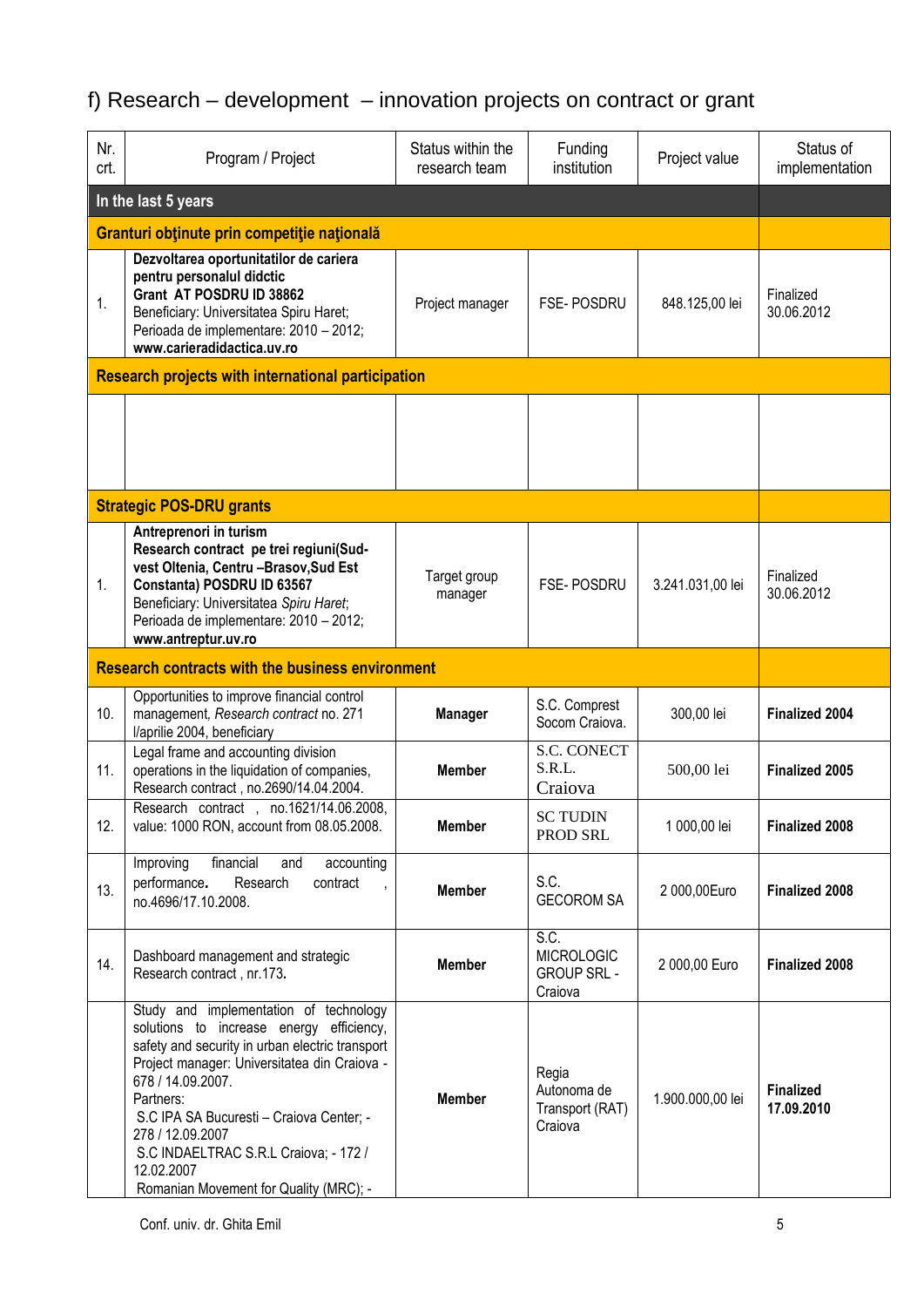# f) Research – development – innovation projects on contract or grant

| Nr.<br>crt.                                               | Program / Project                                                                                                                                                                                                                                                                                                                                                                        | Status within the<br>research team | Funding<br>institution                                     | Project value    | Status of<br>implementation    |  |  |
|-----------------------------------------------------------|------------------------------------------------------------------------------------------------------------------------------------------------------------------------------------------------------------------------------------------------------------------------------------------------------------------------------------------------------------------------------------------|------------------------------------|------------------------------------------------------------|------------------|--------------------------------|--|--|
|                                                           | In the last 5 years                                                                                                                                                                                                                                                                                                                                                                      |                                    |                                                            |                  |                                |  |  |
| Granturi obținute prin competiție națională               |                                                                                                                                                                                                                                                                                                                                                                                          |                                    |                                                            |                  |                                |  |  |
| 1.                                                        | Dezvoltarea oportunitatilor de cariera<br>pentru personalul didctic<br>Grant AT POSDRU ID 38862<br>Beneficiary: Universitatea Spiru Haret;<br>Perioada de implementare: 2010 - 2012;<br>www.carieradidactica.uv.ro                                                                                                                                                                       | Project manager                    | FSE-POSDRU                                                 | 848.125,00 lei   | Finalized<br>30.06.2012        |  |  |
| <b>Research projects with international participation</b> |                                                                                                                                                                                                                                                                                                                                                                                          |                                    |                                                            |                  |                                |  |  |
|                                                           |                                                                                                                                                                                                                                                                                                                                                                                          |                                    |                                                            |                  |                                |  |  |
|                                                           | <b>Strategic POS-DRU grants</b>                                                                                                                                                                                                                                                                                                                                                          |                                    |                                                            |                  |                                |  |  |
| 1.                                                        | Antreprenori in turism<br>Research contract pe trei regiuni(Sud-<br>vest Oltenia, Centru - Brasov, Sud Est<br>Constanta) POSDRU ID 63567<br>Beneficiary: Universitatea Spiru Haret;<br>Perioada de implementare: 2010 - 2012;<br>www.antreptur.uv.ro                                                                                                                                     | Target group<br>manager            | FSE-POSDRU                                                 | 3.241.031,00 lei | Finalized<br>30.06.2012        |  |  |
|                                                           | <b>Research contracts with the business environment</b>                                                                                                                                                                                                                                                                                                                                  |                                    |                                                            |                  |                                |  |  |
| 10.                                                       | Opportunities to improve financial control<br>management, Research contract no. 271<br>I/aprilie 2004, beneficiary                                                                                                                                                                                                                                                                       | <b>Manager</b>                     | S.C. Comprest<br>Socom Craiova.                            | 300,00 lei       | <b>Finalized 2004</b>          |  |  |
| 11.                                                       | Legal frame and accounting division<br>operations in the liquidation of companies,<br>Research contract, no.2690/14.04.2004.                                                                                                                                                                                                                                                             | <b>Member</b>                      | <b>S.C. CONECT</b><br>S.R.L.<br>Craiova                    | 500,00 lei       | <b>Finalized 2005</b>          |  |  |
| 12.                                                       | Research contract, no.1621/14.06.2008,<br>value: 1000 RON, account from 08.05.2008.                                                                                                                                                                                                                                                                                                      | <b>Member</b>                      | <b>SC TUDIN</b><br>PROD SRL                                | 1 000,00 lei     | <b>Finalized 2008</b>          |  |  |
| 13.                                                       | financial<br>accounting<br>Improving<br>and<br>performance.<br>Research<br>contract<br>,<br>no.4696/17.10.2008.                                                                                                                                                                                                                                                                          | <b>Member</b>                      | S.C.<br><b>GECOROM SA</b>                                  | 2 000,00Euro     | <b>Finalized 2008</b>          |  |  |
| 14.                                                       | Dashboard management and strategic<br>Research contract, nr.173.                                                                                                                                                                                                                                                                                                                         | <b>Member</b>                      | S.C.<br><b>MICROLOGIC</b><br><b>GROUP SRL -</b><br>Craiova | 2 000,00 Euro    | <b>Finalized 2008</b>          |  |  |
|                                                           | Study and implementation of technology<br>solutions to increase energy efficiency,<br>safety and security in urban electric transport<br>Project manager: Universitatea din Craiova -<br>678 / 14.09.2007.<br>Partners:<br>S.C IPA SA Bucuresti - Craiova Center; -<br>278 / 12.09.2007<br>S.C INDAELTRAC S.R.L Craiova; - 172 /<br>12.02.2007<br>Romanian Movement for Quality (MRC); - | <b>Member</b>                      | Regia<br>Autonoma de<br>Transport (RAT)<br>Craiova         | 1.900.000,00 lei | <b>Finalized</b><br>17.09.2010 |  |  |